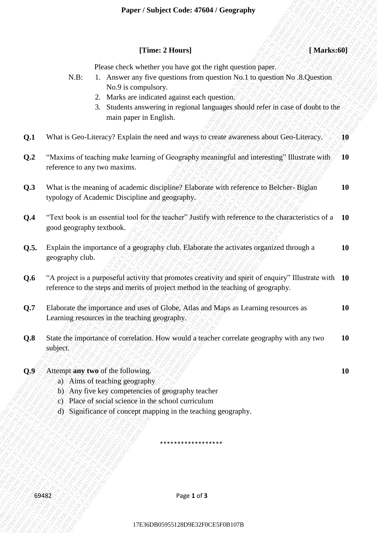#### **[Time: 2 Hours]** *leads leads* **<b>***leads leads leads leads* **<b>***leads leads leads leads leads leads leads leads* **<b>***leads leads leads leads leads* **<b>***leads leads*

Please check whether you have got the right question paper.

- N.B: 1. Answer any five questions from question No.1 to question No .8.Question No.9 is compulsory.
	- 2. Marks are indicated against each question.
	- 3. Students answering in regional languages should refer in case of doubt to the main paper in English.
- **Q.1** What is Geo-Literacy? Explain the need and ways to create awareness about Geo-Literacy. **10**
- These 21 burses 21 burses 21 burses 21 burses 26 burses 26 burses 26 projection RNB . Analysis and Son operation Room applies the control order and the question. The question RNB . A Mathema measuring in regional language **17E36** (Transcritects whether you have got the right questions pager.<br>
18. The Associate and the properties galaxies condense and in capability when the set of the set of the set of the set of the set of the set of the s **17E36 25 Theory 21 Deavy 21 Deavy 21 Deavy 21 Deavy 21 Deavy 20 Deavy 20 Deavy 20 Deavy 20 Deavy 20 Deavy 20 Deavy 20 Deavy 20 Deavy 20 Deavy 20 Deavy 20 Deavy 20 Deavy 20 Deavy 20 Deavy 20 Deavy 20 Deavy 20 Deavy 20 Dea** These 2 Flowers) (Marked09)<br>
17 B R E 1 A answer on the opposite one cares on the restricted specifical systems control and the system of the system of the system of the system of the system of the system of the system of **1990 1990 1990 1990 1999 1999 1999 1999 1999 1999 1999 1999 1999 1999 1999 1999 1999 1999 1999 1999 1999 1999 1999 1999 1999 1999 1999 1999 1999 1999 1999 19** 17E36DB05955128D9E32F0CE5F0B107B17E36DB05955128D9E32F0CE5F0B107B17E36DB05955128D9E32F0CE5F0B107B17E36DB05955128D9E32F0CE5F0B107B17E36DB05955128D9E32F0CE5F0B107B17E36DB05955128D9E32F0CE5F0B107B **1298 Code: 476013 Code: 476013 Congression Conduction Conserverse and the conserverse space of the state of the state of the state of the state of the state of the state of the state of the state of the state of Example 17 Subject Codes 47 6044 Coorgraphy<br>
Cleare Good wiselest you have you the right aperture from the right aperture from the right aperture of the right aperture of the right aperture of the right aperture of the r Example 17.** These of the tractic cases of the registration for the registration for the registration of the state of the state of the state of the state of the state of the state of the state of the state of the state o **Example 17.** These of the tractic cases of the registration for the registration for the registration of the state of the state of the state of the state of the state of the state of the state of the state of the state o **Example 17.** These of the tractic cases of the registration for the registration for the registration of the state of the state of the state of the state of the state of the state of the state of the state of the state o France / Studyer Coole +Fro90 + Fro90 = 12 (3) Abschaology<br>
17 Eliza e check whether you have get the right question Space.<br>
13. Also is consistently signal each of regulation and the space of the space of contexts.<br>
28 F **1999er Studyer Code: 47604** *i* Geography<br>
17Escar clock whether you have got also right-question jumps.<br>
1. A movem any three questions house persons how the projection No.1 is upper<br>
2. Solid accountance grows the resp **17E36DE4** COME 476004 (Congraphy) (The Constrainer (Figure 2.1 Extensor (Figure 2.1 Extensor (Figure 2.1 Extensor (Figure 2.1 Extensor (Figure 2.1 Extensor (Figure 2.1 Extensor (Figure 2.1 Extensor (Figure 2.1 Extensor ( **1299** Paper / Sudiplet Contes 476047 (Exception) (Thus 2 House) (Thus 2 Hours) (Thus 2 Hours) (Thus 2 Hours) (Thus 2 Hours) (Thus 2 Hours) (Thus 2 Hours) (Thus 2 Hours) (2 Hours and properties the realistical contesting **1989** Paper / Satisfact Contes 4760437 Comprosing (TMin Science)<br>
17 Eleast chart whether you have got the right neutron of the space of the space of the space of the space of the space of the space of the space of the s **Paper / Subject Code: 47604/ Geography**<br>
17Enne 2 Hours any since grounds trom agenton Not linearching pages<br>
N.B. 1. Norman can since grounds in organism Not linearching Not SQuention<br>
2. Moreover indicate and quasi-siz **Finac 2 Boursel 1768** (**The Control Control Control Control Control Control Control Control Control Control Control Control Control Control Control Control Control Control Control Control Control Control Control Control Fine: 2 Hours) Examples** (**Minds**<br> **17E86 Phone check whether you have got the city the pays and construct with the system of the system of the system of the system of the system of the system of the system of the sy Plane: 2 Ellower]**<br> **17F3682 Context and Context and Context and Context and Context and Context and Context and Context and Context and Context and Context and Context and Context and Context and Context and Context a Q.2** "Maxims of teaching make learning of Geography meaningful and interesting" Illustrate with reference to any two maxims. **10**
	- **Q.3** What is the meaning of academic discipline? Elaborate with reference to Belcher- Biglan typology of Academic Discipline and geography. **10**
	- **Q.4** "Text book is an essential tool for the teacher" Justify with reference to the characteristics of a good geography textbook. **10**
	- **Q.5.** Explain the importance of a geography club. Elaborate the activates organized through a geography club. **10**
	- **Q.6** "A project is a purposeful activity that promotes creativity and spirit of enquiry" Illustrate with **10** reference to the steps and merits of project method in the teaching of geography.
	- **Q.7** Elaborate the importance and uses of Globe, Atlas and Maps as Learning resources as Learning resources in the teaching geography. **10**
	- **Q.8** State the importance of correlation. How would a teacher correlate geography with any two subject. **10**
	- **Q.9** Attempt **any two** of the following. **10**
		- a) Aims of teaching geography
		- b) Any five key competencies of geography teacher
		- c) Place of social science in the school curriculum
		- d) Significance of concept mapping in the teaching geography.

69482 Page **1** of **3**

\*\*\*\*\*\*\*\*\*\*\*\*\*\*\*\*\*\*

17E36DB05955128D9E32F0CE5F0B107B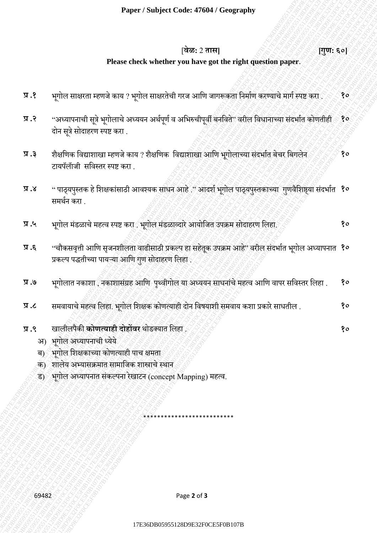# [**वेळ:**2 **तास] [गुण: ६०]**

### **Please check whether you have got the right question paper**.

- **प्र .१** भगूोल साक्षरता म्हणजे काय ? भगूोल साक्षरतेची गरज आणण जागरूकता णिर्ााण करण्याचे र्ागा स्पष्ट करा . **१०**
- **Plane: check whether you have get the right question puper-<br>
vgiles rate of ap-10 relation states origins and control states after state for application and relation to the<br>
-state of a state of a state of a state origin** 17E26B9<br>
17E36 27E45 12E45 12E45 12E45 12E45 12E45 12E45 12E45 12E45 12E45 12E45 12E45 12E45 12E45 12E45 12E45 12E45 12E45 12E45 12E45 12E45 12E45 12E45 12E45 12E45 12E45 12E45 12E45 12E45 12E45 12E45 12E45 12E45 12E45 12 1986 5 2079)<br>
17E36 12 Primari Content of the Content of the Content of the Content of Content of the Content of the Content<br>
17E36 13 Primari Content of the Content of Content of Content of Content of Content of Content **17E36** Prices check whether you have got the right question paper.<br>
17E36. Price control used and 2 price described on and any complete function paper.<br>
17E36 Price control used and 2 price described on the application o 19E36D95128006128066129966129062899612906139961299961299996129F0277E33F0912F02F138D9E32F0CE570B107E33F032F02F02F0317E37F0317E37F0317E37F0317E37F0317E37F0317E37F0317E37F0317E37F0317E37F0317E37F0317E37F0317E37F0317E37F0317 **Paper / Subject Code: 47644 / Geography<br>
1986 - 2 million code: whether you have part the right messing apper<br>
31.4 - Constraint Service of Vermel Start Schwabel Code Start Schwabel Codes Schwabel (2015)<br>
31.4 - Constra Paper / Studiest Code: 476445 16 Concerpts, 200**<br> **Presse check whether you have not the stable questions paper.**<br>
9.  $\chi$ <br>
9.  $\chi$ <br>
9.  $\chi$ <br>
9.  $\chi$ <br>
9.  $\chi$ <br>
9.  $\chi$ <br>
9.  $\chi$ <br>
9.  $\chi$ <br>
9.  $\chi$ <br>
9.  $\chi$ <br>
9.  $\chi$ <br>
9.  $\$ Paper / Subject Code: 4760417 Goography<br>
Please check whether you have you the right quasitions paper<br>
17. Subject must a very shown and the ratio and the ratio and the special strict of the special strict of the<br>
27. Sub **Proper / Subject Code: 47604 / Georgraphy / Type: 601**<br> **Place check whether you have got the right quasident paper.** Type: 601<br>
31.1 equivalent work are regiven as the right submanity for a single summit the first summi **Proper / Subject Code: 47604 / Georgraphy / Type: 601**<br> **Place check whether you have got the right quasident paper.** Type: 601<br>
31.1 equivalent work are regiven as the right submanity for a single summit the first summi **Proper / Subject Code: 47604 / Georgraphy / Type: 601**<br> **Place check whether you have got the right quasident paper.** Type: 601<br>
31.1 equivalent work are regiven as the right submanity for a single summit the first summi **Example: Subject Cool of Fidely 17 cool of Figure 17 cool of Figure 17 cool of Figure 17 cool of Figure 17 cool of Figure 17 cool of Figure 17 cool of Figure 17 cool of Figure 17 cool of Figure 17 cool of Figure 17 cool Paper Southern Control First 2001**<br> **Paper Southern cyclic and control of the right quantity paper.**<br>
17.2 applies and control wave and paper and anothern paper spin applies with the spin applies of the spin applies of t Player / Subject Code: 47604/ Givergraphy<br>
1795: 5197<br>
1795: 5197<br>
1795: 5197<br>
17.4 vglic: ensus reveni sure > yri) en usual de e saño enes son forte april acerdo energia de estas<br>
31.4 vglic: ensus reveni sure > yri) en **1799** Paper / Subject Code-47603 / decography<br>
1986: 2 RMH<br>
1986: 2 RMH<br>
1986: 2 RMH<br>
1986: 2 RMH<br>
1986: 2 RMH (France Code whether you have got the right quasition paper.<br>
1987: 2 Paper (For the second advertise of the Paper / Subject Code: 476443 / Group paper / Engris ξε)<br>
(382, 2 πm)<br>
Please check whether you lace get the right question paper. [1795, ξε)<br>
17. ε πρότειται τεχνό του / γμήσι ανανία σε φθη συνετριβί τρίπον του πρότειται 17E36DB05955128D9E32F0CE5F0B107B17E36DB05955128D9E32F0CE5F0B107B17E36DB05955128D9E32F0CE5F0B107B17E36DB05955128D9E32F0CE5F0B107B17E36DB05955128D9E32F0CE5F0B107B17E36DB05955128D9E32F0CE5F0B107B Paper / Subject Code: 47644 / Geography<br>
1985 - 2 First edeck whether you have got the right question paper.<br>
17.2 - Applies ensemi-seek and a very pleasarisely at a strength stresses for forming the right of the planet<br> Paper / Subject Code: 47604/ Cooperably<br>
1787. Paper and the whole rise and the rise of the right quasition paper.<br>
17.2 Paper and the right and the right and the right and the right quasition paper.<br>
17.2 Paper and the Paper / Subject Code: 47604 / Grography<br>
285: 2 area<br>
295: 2 area deck whether you have pet the right question paper.<br>
29. 2 area deck of the right and contract the right and contract the right of the right and contract t प्र .२ "अध्यापनाची सूत्रे भूगोलाचे अध्ययन अर्थपूर्ण व अभिरुचीपूर्वी बनविते" वरील विधानाच्या संदर्भात कोणतीही दोन सूत्रे सोदाहरण स्पष्ट करा . **१०**
	- प्र .३ शैक्षणिक विद्याशाखा म्हणजे काय ? शैक्षणिक विद्याशाखा आणि भूगोलाच्या संदर्भात बेचर बिगलेन टायपॅलॅाजी सणवस्तर स्पष्ट करा . **१०**
	- **प्र .४** " पाठ्यपुस्तक हे शिक्षकांसाठी आवश्यक साधन आहे ." आदर्श भूगोल पाठ्यपुस्तकाच्या गुणवैशिष्ठ्या संदर्भात **१०** समर्थन करा .
	- **प्र .५** भगूोल र्डं ळाचे र्हत्व स्पष्ट करा . भगूोल र्डं ळाव्दारेआयोणजत उपक्रर् सोदाहरण णलहा. **१०**
	- **प्र .६** "चौकसवृत्ती आणि सृजनशीलता वाढीसाठी प्रकल्प हा सहेतूक उपक्रम आहे" वरील संदर्भात भूगोल अध्यापनात **१०** प्रकल्प पद्धतीच्या पायऱ्या आणण गणु सोदाहरण णलहा .
	- **प्र .७** भगूोलात िकाशा , िकाशासंग्रह आणण पथ्ृवीगोल या अध्ययि साधिांचेर्हत्व आणण वापर सणवस्तर णलहा . **१०**
	- **प्र .८** सर्वायाचेर्हत्व णलहा. भगूोल णशक्षक कोणत्याही दोि णवषयाशी सर्वाय कशा प्रकारे साधतील . **१०**
	- **प्र .९** खालीलपैकी **कोणत्याही दोहोंवर** र्ोडक्यात णलहा . **१०**
		- अ) भगूोल अध्यापिाची ध्येये
		- ब) भगोल शिक्षकाच्या कोणत्याही पाच क्षमता
		- क) शालेय अभ्यासक्रमात सामाजिक शास्त्राचे स्थान
		- ड) भूगोल अध्यापनात संकल्पना रेखाटन (concept Mapping) महत्व.

69482 Page **2** of **3**

\*\*\*\*\*\*\*\*\*\*\*\*\*\*\*\*\*\*\*\*\*\*\*\*\*\*